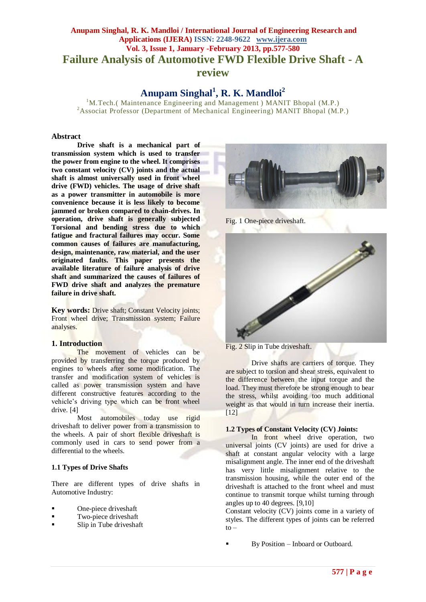# **Anupam Singhal, R. K. Mandloi / International Journal of Engineering Research and Applications (IJERA) ISSN: 2248-9622 www.ijera.com Vol. 3, Issue 1, January -February 2013, pp.577-580 Failure Analysis of Automotive FWD Flexible Drive Shaft - A review**

**Anupam Singhal<sup>1</sup> , R. K. Mandloi<sup>2</sup>**

<sup>1</sup>M.Tech.( Maintenance Engineering and Management ) MANIT Bhopal (M.P.) <sup>2</sup> Associat Professor (Department of Mechanical Engineering) MANIT Bhopal (M.P.)

#### **Abstract**

**Drive shaft is a mechanical part of transmission system which is used to transfer the power from engine to the wheel. It comprises two constant velocity (CV) joints and the actual shaft is almost universally used in front wheel drive (FWD) vehicles. The usage of drive shaft as a power transmitter in automobile is more convenience because it is less likely to become jammed or broken compared to chain-drives. In operation, drive shaft is generally subjected Torsional and bending stress due to which fatigue and fractural failures may occur. Some common causes of failures are manufacturing, design, maintenance, raw material, and the user originated faults. This paper presents the available literature of failure analysis of drive shaft and summarized the causes of failures of FWD drive shaft and analyzes the premature failure in drive shaft.**

**Key words:** Drive shaft; Constant Velocity joints; Front wheel drive; Transmission system; Failure analyses.

## **1. Introduction**

The movement of vehicles can be provided by transferring the torque produced by engines to wheels after some modification. The transfer and modification system of vehicles is called as power transmission system and have different constructive features according to the vehicle's driving type which can be front wheel drive. [4]

Most automobiles today use rigid driveshaft to deliver power from a transmission to the wheels. A pair of short flexible driveshaft is commonly used in cars to send power from a differential to the wheels.

#### **1.1 Types of Drive Shafts**

There are different types of drive shafts in Automotive Industry:

- One-piece driveshaft
- Two-piece driveshaft
- Slip in Tube driveshaft



Fig. 1 One-piece driveshaft.



Fig. 2 Slip in Tube driveshaft.

Drive shafts are carriers of [torque.](http://en.wikipedia.org/wiki/Torque) They are subject to [torsion](http://en.wikipedia.org/wiki/Torsion_(mechanics)) and [shear stress,](http://en.wikipedia.org/wiki/Shear_stress) equivalent to the difference between the input torque and the load. They must therefore be strong enough to bear the stress, whilst avoiding too much additional weight as that would in turn increase their [inertia.](http://en.wikipedia.org/wiki/Inertia) [12]

#### **1.2 Types of Constant Velocity (CV) Joints:**

In front wheel drive operation, two universal joints (CV joints) are used for drive a shaft at constant angular velocity with a large misalignment angle. The inner end of the driveshaft has very little misalignment relative to the transmission housing, while the outer end of the driveshaft is attached to the front wheel and must continue to transmit torque whilst turning through angles up to 40 degrees. [9,10]

Constant velocity (CV) joints come in a variety of styles. The different types of joints can be referred to –

By Position – Inboard or Outboard.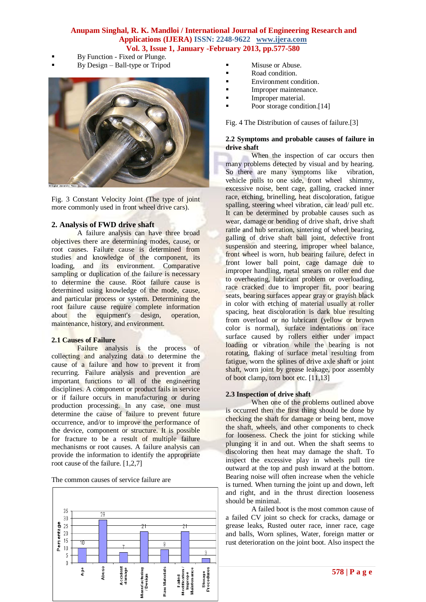# **Anupam Singhal, R. K. Mandloi / International Journal of Engineering Research and Applications (IJERA) ISSN: 2248-9622 www.ijera.com Vol. 3, Issue 1, January -February 2013, pp.577-580**

- By Function Fixed or Plunge.
- By Design Ball-type or Tripod



Fig. 3 Constant Velocity Joint (The type of joint more commonly used in front wheel drive cars).

# **2. Analysis of FWD drive shaft**

A failure analysis can have three broad objectives there are determining modes, cause, or root causes. Failure cause is determined from studies and knowledge of the component, its loading, and its environment. Comparative sampling or duplication of the failure is necessary to determine the cause. Root failure cause is determined using knowledge of the mode, cause, and particular process or system. Determining the root failure cause require complete information about the equipment's design, operation, maintenance, history, and environment.

#### **2.1 Causes of Failure**

Failure analysis is the process of collecting and analyzing data to determine the cause of a failure and how to prevent it from recurring. Failure analysis and prevention are important functions to all of the engineering disciplines. A component or product fails in service or if failure occurs in manufacturing or during production processing. In any case, one must determine the cause of failure to prevent future occurrence, and/or to improve the performance of the device, component or structure. It is possible for fracture to be a result of multiple failure mechanisms or root causes. A failure analysis can provide the information to identify the appropriate root cause of the failure. [1,2,7]

The common causes of service failure are



- **Nisuse or Abuse.**
- Road condition.
- **Environment condition.**
- Improper maintenance.
- Improper material.
- Poor storage condition.<sup>[14]</sup>

Fig. 4 The Distribution of causes of failure.[3]

## **2.2 Symptoms and probable causes of failure in drive shaft**

When the inspection of car occurs then many problems detected by visual and by hearing. So there are many symptoms like vibration, vehicle pulls to one side, front wheel shimmy, excessive noise, bent cage, galling, cracked inner race, etching, brinelling, heat discoloration, fatigue spalling, steering wheel vibration, car lead/ pull etc. It can be determined by probable causes such as wear, damage or bending of drive shaft, drive shaft rattle and hub serration, sintering of wheel bearing, galling of drive shaft ball joint, defective front suspension and steering, improper wheel balance, front wheel is worn, hub bearing failure, defect in front lower ball point, cage damage due to improper handling, metal smears on roller end due to overheating, lubricant problem or overloading, race cracked due to improper fit, poor bearing seats, bearing surfaces appear gray or grayish black in color with etching of material usually at roller spacing, heat discoloration is dark blue resulting from overload or no lubricant (yellow or brown color is normal), surface indentations on race surface caused by rollers either under impact loading or vibration while the bearing is not rotating, flaking of surface metal resulting from fatigue, worn the splines of drive axle shaft or joint shaft, worn joint by grease leakage, poor assembly of boot clamp, torn boot etc. [11,13]

## **2.3 Inspection of drive shaft**

When one of the problems outlined above is occurred then the first thing should be done by checking the shaft for damage or being bent, move the shaft, wheels, and other components to check for looseness. Check the joint for sticking while plunging it in and out. When the shaft seems to discoloring then heat may damage the shaft. To inspect the excessive play in wheels pull tire outward at the top and push inward at the bottom. Bearing noise will often increase when the vehicle is turned. When turning the joint up and down, left and right, and in the thrust direction looseness should be minimal.

A failed boot is the most common cause of a failed CV joint so check for cracks, damage or grease leaks, Rusted outer race, inner race, cage and balls, Worn splines, Water, foreign matter or rust deterioration on the joint boot. Also inspect the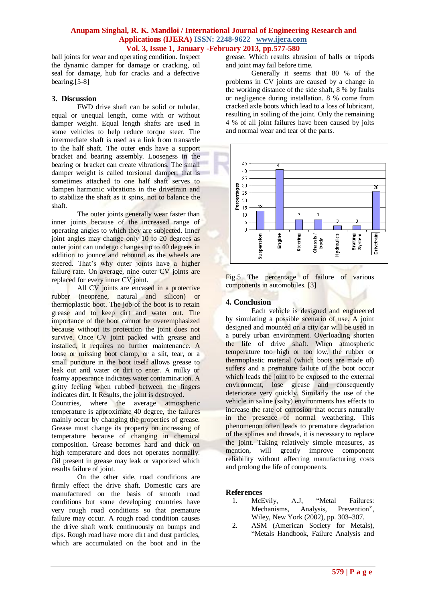## **Anupam Singhal, R. K. Mandloi / International Journal of Engineering Research and Applications (IJERA) ISSN: 2248-9622 www.ijera.com Vol. 3, Issue 1, January -February 2013, pp.577-580**

ball joints for wear and operating condition. Inspect the dynamic damper for damage or cracking, oil seal for damage, hub for cracks and a defective bearing.[5-8]

## **3. Discussion**

FWD drive shaft can be solid or tubular, equal or unequal length, come with or without damper weight. Equal length shafts are used in some vehicles to help reduce torque steer. The intermediate shaft is used as a link from transaxle to the half shaft. The outer ends have a support bracket and bearing assembly. Looseness in the bearing or bracket can create vibrations. The small damper weight is called torsional damper, that is sometimes attached to one half shaft serves to dampen harmonic vibrations in the drivetrain and to stabilize the shaft as it spins, not to balance the shaft.

The outer joints generally wear faster than inner joints because of the increased range of operating angles to which they are subjected. Inner joint angles may change only 10 to 20 degrees as outer joint can undergo changes up to 40 degrees in addition to jounce and rebound as the wheels are steered. That's why outer joints have a higher failure rate. On average, nine outer CV joints are replaced for every inner CV joint.

All CV joints are encased in a protective rubber (neoprene, natural and silicon) or thermoplastic boot. The job of the boot is to retain grease and to keep dirt and water out. The importance of the boot cannot be overemphasized because without its protection the joint does not survive. Once CV joint packed with grease and installed, it requires no further maintenance. A loose or missing boot clamp, or a slit, tear, or a small puncture in the boot itself allows grease to leak out and water or dirt to enter. A milky or foamy appearance indicates water contamination. A gritty feeling when rubbed between the fingers indicates dirt. It Results, the joint is destroyed.

Countries, where the average atmospheric temperature is approximate 40 degree, the failures mainly occur by changing the properties of grease. Grease must change its property on increasing of temperature because of changing in chemical composition. Grease becomes hard and thick on high temperature and does not operates normally. Oil present in grease may leak or vaporized which results failure of joint.

On the other side, road conditions are firmly effect the drive shaft. Domestic cars are manufactured on the basis of smooth road conditions but some developing countries have very rough road conditions so that premature failure may occur. A rough road condition causes the drive shaft work continuously on bumps and dips. Rough road have more dirt and dust particles, which are accumulated on the boot and in the

grease. Which results abrasion of balls or tripods and joint may fail before time.

Generally it seems that 80 % of the problems in CV joints are caused by a change in the working distance of the side shaft, 8 % by faults or negligence during installation. 8 % come from cracked axle boots which lead to a loss of lubricant, resulting in soiling of the joint. Only the remaining 4 % of all joint failures have been caused by jolts and normal wear and tear of the parts.



Fig.5 The percentage of failure of various components in automobiles. [3]

# **4. Conclusion**

Each vehicle is designed and engineered by simulating a possible scenario of use. A joint designed and mounted on a city car will be used in a purely urban environment. Overloading shorten the life of drive shaft. When atmospheric temperature too high or too low, the rubber or thermoplastic material (which boots are made of) suffers and a premature failure of the boot occur which leads the joint to be exposed to the external environment, lose grease and consequently deteriorate very quickly. Similarly the use of the vehicle in saline (salty) environments has effects to increase the rate of corrosion that occurs naturally in the presence of normal weathering. This phenomenon often leads to premature degradation of the splines and threads, it is necessary to replace the joint. Taking relatively simple measures, as mention, will greatly improve component reliability without affecting manufacturing costs and prolong the life of components.

## **References**

- 1. McEvily, A.J, "Metal Failures: Mechanisms, Analysis, Prevention", Wiley, New York (2002), pp. 303–307.
- 2. ASM (American Society for Metals), "Metals Handbook, Failure Analysis and